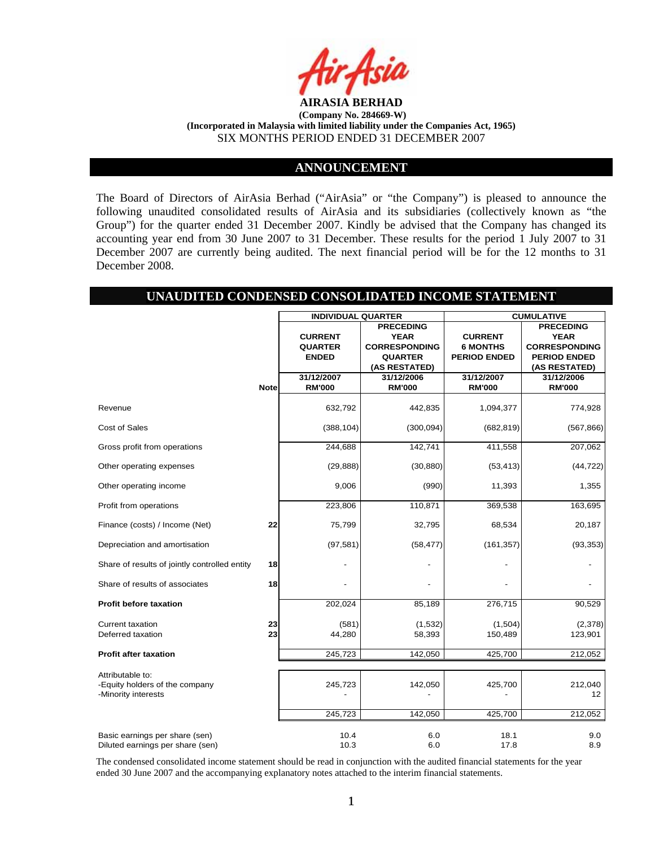

#### **ANNOUNCEMENT**

The Board of Directors of AirAsia Berhad ("AirAsia" or "the Company") is pleased to announce the following unaudited consolidated results of AirAsia and its subsidiaries (collectively known as "the Group") for the quarter ended 31 December 2007. Kindly be advised that the Company has changed its accounting year end from 30 June 2007 to 31 December. These results for the period 1 July 2007 to 31 December 2007 are currently being audited. The next financial period will be for the 12 months to 31 December 2008.

## **UNAUDITED CONDENSED CONSOLIDATED INCOME STATEMENT**

|                                               |             | <b>INDIVIDUAL QUARTER</b> |                      | <b>CUMULATIVE</b>   |                      |  |
|-----------------------------------------------|-------------|---------------------------|----------------------|---------------------|----------------------|--|
|                                               |             |                           | <b>PRECEDING</b>     |                     | <b>PRECEDING</b>     |  |
|                                               |             | <b>CURRENT</b>            | <b>YEAR</b>          | <b>CURRENT</b>      | <b>YEAR</b>          |  |
|                                               |             | <b>QUARTER</b>            | <b>CORRESPONDING</b> | <b>6 MONTHS</b>     | <b>CORRESPONDING</b> |  |
|                                               |             | <b>ENDED</b>              | <b>QUARTER</b>       | <b>PERIOD ENDED</b> | <b>PERIOD ENDED</b>  |  |
|                                               |             |                           | (AS RESTATED)        |                     | (AS RESTATED)        |  |
|                                               |             | 31/12/2007                | 31/12/2006           | 31/12/2007          | 31/12/2006           |  |
|                                               | <b>Note</b> | <b>RM'000</b>             | <b>RM'000</b>        | <b>RM'000</b>       | <b>RM'000</b>        |  |
| Revenue                                       |             | 632,792                   | 442,835              | 1,094,377           | 774,928              |  |
| <b>Cost of Sales</b>                          |             | (388, 104)                | (300, 094)           | (682, 819)          | (567, 866)           |  |
| Gross profit from operations                  |             | 244,688                   | 142,741              | 411,558             | 207,062              |  |
| Other operating expenses                      |             | (29, 888)                 | (30, 880)            | (53, 413)           | (44, 722)            |  |
| Other operating income                        |             | 9,006                     | (990)                | 11,393              | 1,355                |  |
| Profit from operations                        |             | 223,806                   | 110,871              | 369,538             | 163,695              |  |
| Finance (costs) / Income (Net)                | 22          | 75,799                    | 32,795               | 68,534              | 20,187               |  |
| Depreciation and amortisation                 |             | (97, 581)                 | (58, 477)            | (161, 357)          | (93, 353)            |  |
| Share of results of jointly controlled entity | 18          |                           |                      |                     |                      |  |
| Share of results of associates                | 18          |                           |                      |                     |                      |  |
| <b>Profit before taxation</b>                 |             | 202,024                   | 85,189               | 276,715             | 90,529               |  |
| <b>Current taxation</b><br>Deferred taxation  | 23<br>23    | (581)<br>44,280           | (1,532)<br>58,393    | (1,504)<br>150,489  | (2,378)<br>123,901   |  |
| <b>Profit after taxation</b>                  |             | 245.723                   | 142,050              | 425,700             | 212,052              |  |
| Attributable to:                              |             |                           |                      |                     |                      |  |
| -Equity holders of the company                |             | 245,723                   | 142,050              | 425,700             | 212,040              |  |
| -Minority interests                           |             |                           |                      |                     | 12                   |  |
|                                               |             |                           |                      |                     |                      |  |
|                                               |             | 245,723                   | 142,050              | 425,700             | 212,052              |  |
| Basic earnings per share (sen)                |             | 10.4                      | 6.0                  | 18.1                | 9.0                  |  |
| Diluted earnings per share (sen)              |             | 10.3                      | 6.0                  | 17.8                | 8.9                  |  |

The condensed consolidated income statement should be read in conjunction with the audited financial statements for the year ended 30 June 2007 and the accompanying explanatory notes attached to the interim financial statements.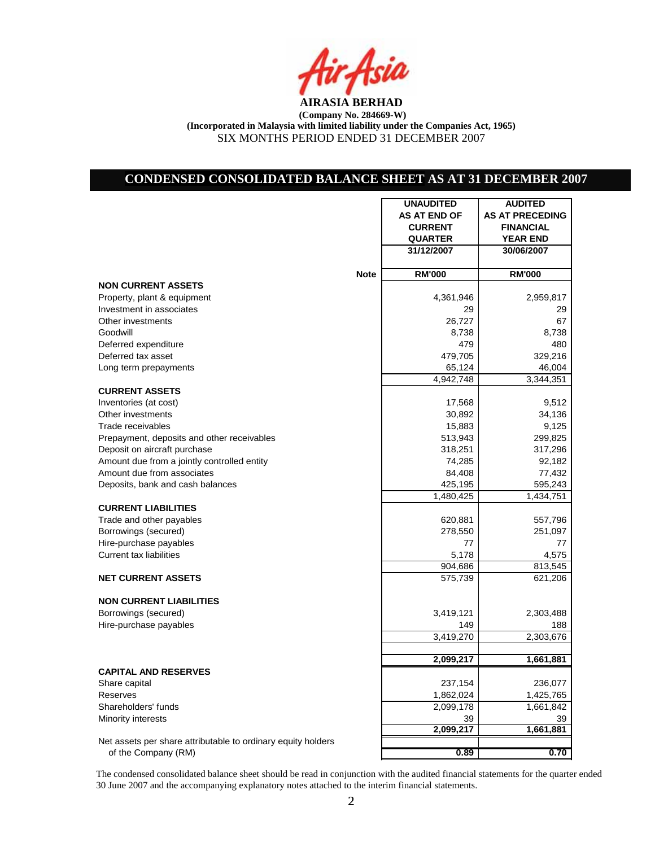

# **CONDENSED CONSOLIDATED BALANCE SHEET AS AT 31 DECEMBER 2007**

|                                                              | <b>UNAUDITED</b>     | <b>AUDITED</b>         |
|--------------------------------------------------------------|----------------------|------------------------|
|                                                              | <b>AS AT END OF</b>  | <b>AS AT PRECEDING</b> |
|                                                              | <b>CURRENT</b>       | <b>FINANCIAL</b>       |
|                                                              | <b>QUARTER</b>       | <b>YEAR END</b>        |
|                                                              | 31/12/2007           | 30/06/2007             |
|                                                              |                      |                        |
| <b>Note</b>                                                  | <b>RM'000</b>        | <b>RM'000</b>          |
| <b>NON CURRENT ASSETS</b>                                    |                      |                        |
| Property, plant & equipment                                  | 4,361,946            | 2,959,817              |
| Investment in associates                                     | 29                   | 29                     |
| Other investments                                            | 26,727               | 67                     |
| Goodwill                                                     | 8,738                | 8,738                  |
| Deferred expenditure                                         | 479                  | 480                    |
| Deferred tax asset                                           | 479,705              | 329,216                |
| Long term prepayments                                        | 65,124               | 46,004                 |
|                                                              | 4,942,748            | 3,344,351              |
| <b>CURRENT ASSETS</b>                                        |                      |                        |
| Inventories (at cost)                                        | 17,568               | 9,512                  |
| Other investments                                            | 30,892               | 34,136                 |
| Trade receivables                                            | 15,883               | 9,125                  |
| Prepayment, deposits and other receivables                   | 513,943              | 299,825                |
| Deposit on aircraft purchase                                 | 318,251              | 317,296                |
| Amount due from a jointly controlled entity                  | 74,285               | 92,182                 |
| Amount due from associates                                   | 84,408               | 77,432                 |
|                                                              |                      | 595,243                |
| Deposits, bank and cash balances                             | 425,195<br>1,480,425 |                        |
| <b>CURRENT LIABILITIES</b>                                   |                      | 1,434,751              |
|                                                              |                      |                        |
| Trade and other payables                                     | 620,881              | 557,796                |
| Borrowings (secured)                                         | 278,550              | 251,097                |
| Hire-purchase payables                                       | 77                   | 77                     |
| <b>Current tax liabilities</b>                               | 5,178                | 4,575                  |
|                                                              | 904,686              | 813,545                |
| <b>NET CURRENT ASSETS</b>                                    | 575,739              | 621,206                |
| <b>NON CURRENT LIABILITIES</b>                               |                      |                        |
| Borrowings (secured)                                         | 3,419,121            | 2,303,488              |
|                                                              | 149                  | 188                    |
| Hire-purchase payables                                       |                      |                        |
|                                                              | 3,419,270            | 2,303,676              |
|                                                              | 2,099,217            | 1,661,881              |
| <b>CAPITAL AND RESERVES</b>                                  |                      |                        |
|                                                              | 237,154              | 236,077                |
| Share capital<br>Reserves                                    | 1,862,024            | 1,425,765              |
|                                                              |                      |                        |
| Shareholders' funds                                          | 2,099,178            | 1,661,842              |
| Minority interests                                           | 39                   | 39                     |
|                                                              | 2,099,217            | 1,661,881              |
| Net assets per share attributable to ordinary equity holders |                      |                        |
| of the Company (RM)                                          | 0.89                 | 0.70                   |

The condensed consolidated balance sheet should be read in conjunction with the audited financial statements for the quarter ended 30 June 2007 and the accompanying explanatory notes attached to the interim financial statements.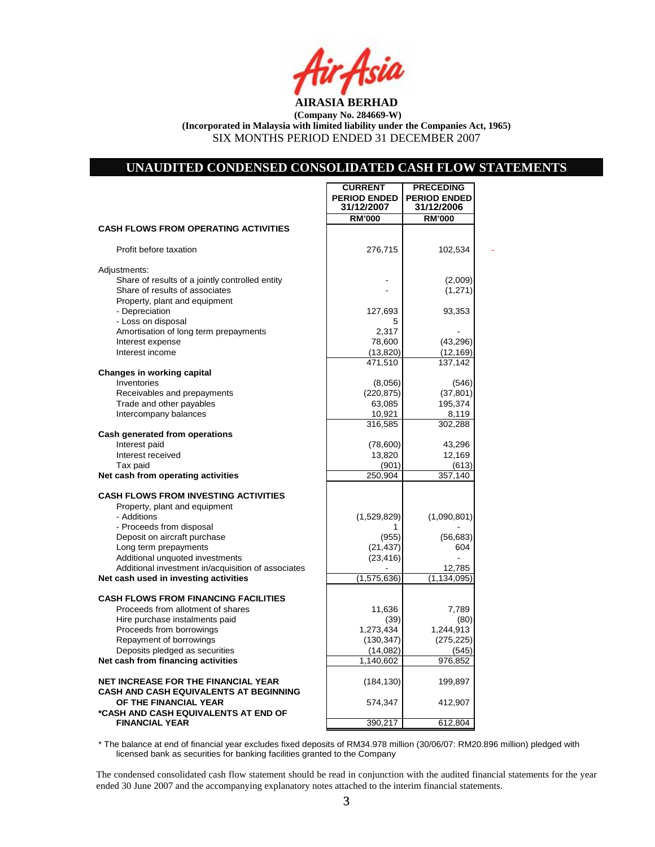

### **UNAUDITED CONDENSED CONSOLIDATED CASH FLOW STATEMENTS**

**CURRENT | PRECEDING** 

|                                                                                      | <b>PERIOD ENDED</b><br>31/12/2007 | <b>PERIOD ENDED</b><br>31/12/2006 |  |
|--------------------------------------------------------------------------------------|-----------------------------------|-----------------------------------|--|
|                                                                                      | <b>RM'000</b>                     | <b>RM'000</b>                     |  |
| <b>CASH FLOWS FROM OPERATING ACTIVITIES</b>                                          |                                   |                                   |  |
| Profit before taxation                                                               | 276,715                           | 102,534                           |  |
| Adjustments:                                                                         |                                   |                                   |  |
| Share of results of a jointly controlled entity                                      |                                   | (2,009)                           |  |
| Share of results of associates                                                       |                                   | (1, 271)                          |  |
| Property, plant and equipment                                                        |                                   |                                   |  |
| - Depreciation                                                                       | 127,693                           | 93,353                            |  |
| - Loss on disposal                                                                   | 5                                 |                                   |  |
| Amortisation of long term prepayments                                                | 2,317                             |                                   |  |
| Interest expense                                                                     | 78,600                            | (43, 296)                         |  |
| Interest income                                                                      | (13, 820)                         | (12, 169)                         |  |
|                                                                                      | 471.510                           | 137,142                           |  |
| <b>Changes in working capital</b>                                                    |                                   |                                   |  |
| Inventories                                                                          | (8,056)                           | (546)                             |  |
| Receivables and prepayments                                                          | (220, 875)                        | (37, 801)                         |  |
| Trade and other payables                                                             | 63,085                            | 195,374                           |  |
| Intercompany balances                                                                | 10,921                            | 8,119                             |  |
|                                                                                      | 316,585                           | 302,288                           |  |
| Cash generated from operations                                                       |                                   |                                   |  |
| Interest paid<br>Interest received                                                   | (78,600)                          | 43,296                            |  |
| Tax paid                                                                             | 13,820<br>(901)                   | 12,169<br>(613)                   |  |
| Net cash from operating activities                                                   | 250,904                           | 357,140                           |  |
|                                                                                      |                                   |                                   |  |
| <b>CASH FLOWS FROM INVESTING ACTIVITIES</b>                                          |                                   |                                   |  |
| Property, plant and equipment                                                        |                                   |                                   |  |
| - Additions                                                                          | (1,529,829)                       | (1,090,801)                       |  |
| - Proceeds from disposal                                                             | 1                                 |                                   |  |
| Deposit on aircraft purchase                                                         | (955)                             | (56, 683)                         |  |
| Long term prepayments                                                                | (21, 437)                         | 604                               |  |
| Additional unquoted investments                                                      | (23, 416)                         |                                   |  |
| Additional investment in/acquisition of associates                                   |                                   | 12,785                            |  |
| Net cash used in investing activities                                                | (1,575,636)                       | (1, 134, 095)                     |  |
| <b>CASH FLOWS FROM FINANCING FACILITIES</b>                                          |                                   |                                   |  |
| Proceeds from allotment of shares                                                    | 11,636                            | 7,789                             |  |
| Hire purchase instalments paid                                                       | (39)                              | (80)                              |  |
| Proceeds from borrowings                                                             | 1,273,434                         | 1,244,913                         |  |
| Repayment of borrowings                                                              | (130, 347)                        | (275, 225)                        |  |
| Deposits pledged as securities                                                       | (14,082)                          | (545)                             |  |
| Net cash from financing activities                                                   | 1,140,602                         | 976,852                           |  |
|                                                                                      |                                   |                                   |  |
| <b>NET INCREASE FOR THE FINANCIAL YEAR</b><br>CASH AND CASH EQUIVALENTS AT BEGINNING | (184, 130)                        | 199,897                           |  |
| OF THE FINANCIAL YEAR<br>*CASH AND CASH EQUIVALENTS AT END OF                        | 574,347                           | 412,907                           |  |
| <b>FINANCIAL YEAR</b>                                                                | 390,217                           | 612,804                           |  |

\* The balance at end of financial year excludes fixed deposits of RM34.978 million (30/06/07: RM20.896 million) pledged with licensed bank as securities for banking facilities granted to the Company

The condensed consolidated cash flow statement should be read in conjunction with the audited financial statements for the year ended 30 June 2007 and the accompanying explanatory notes attached to the interim financial statements.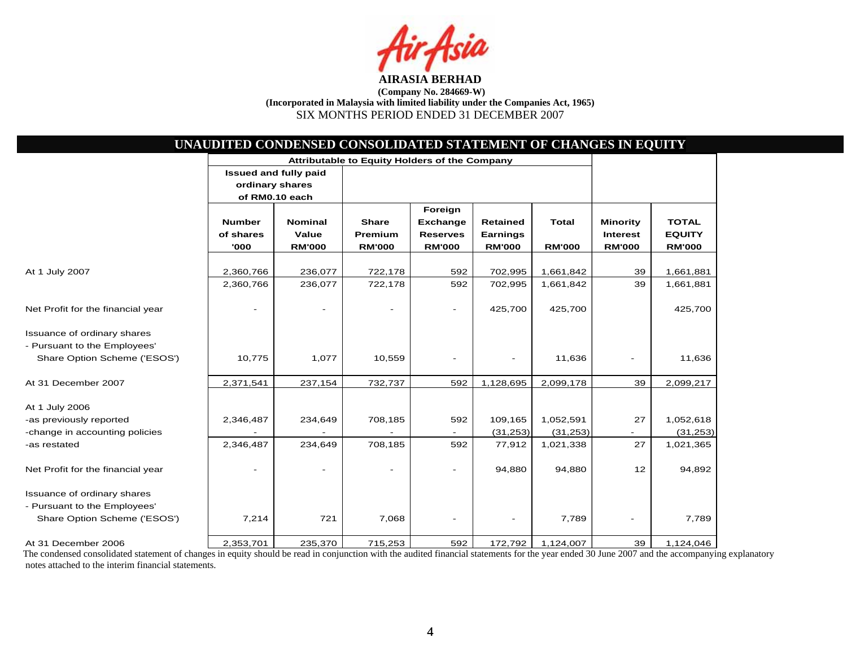

|                                                              |                                    | Attributable to Equity Holders of the Company                     |                                          |                                                                |                                                     |                               |                                                     |                                                |
|--------------------------------------------------------------|------------------------------------|-------------------------------------------------------------------|------------------------------------------|----------------------------------------------------------------|-----------------------------------------------------|-------------------------------|-----------------------------------------------------|------------------------------------------------|
|                                                              |                                    | <b>Issued and fully paid</b><br>ordinary shares<br>of RM0.10 each |                                          |                                                                |                                                     |                               |                                                     |                                                |
|                                                              | <b>Number</b><br>of shares<br>'000 | <b>Nominal</b><br>Value<br><b>RM'000</b>                          | <b>Share</b><br>Premium<br><b>RM'000</b> | Foreign<br><b>Exchange</b><br><b>Reserves</b><br><b>RM'000</b> | <b>Retained</b><br><b>Earnings</b><br><b>RM'000</b> | <b>Total</b><br><b>RM'000</b> | <b>Minority</b><br><b>Interest</b><br><b>RM'000</b> | <b>TOTAL</b><br><b>EQUITY</b><br><b>RM'000</b> |
| At 1 July 2007                                               | 2,360,766                          | 236,077                                                           | 722,178                                  | 592                                                            | 702,995                                             | 1,661,842                     | 39                                                  | 1,661,881                                      |
|                                                              | 2,360,766                          | 236,077                                                           | 722,178                                  | 592                                                            | 702,995                                             | 1,661,842                     | 39                                                  | 1,661,881                                      |
| Net Profit for the financial year                            |                                    |                                                                   |                                          | $\overline{\phantom{0}}$                                       | 425,700                                             | 425,700                       |                                                     | 425,700                                        |
| Issuance of ordinary shares                                  |                                    |                                                                   |                                          |                                                                |                                                     |                               |                                                     |                                                |
| - Pursuant to the Employees'<br>Share Option Scheme ('ESOS') | 10,775                             | 1,077                                                             | 10,559                                   |                                                                | $\overline{\phantom{a}}$                            | 11,636                        |                                                     | 11,636                                         |
| At 31 December 2007                                          | 2,371,541                          | 237,154                                                           | 732,737                                  | 592                                                            | 1,128,695                                           | 2,099,178                     | 39                                                  | 2,099,217                                      |
| At 1 July 2006                                               |                                    |                                                                   |                                          |                                                                |                                                     |                               |                                                     |                                                |
| -as previously reported                                      | 2,346,487                          | 234,649                                                           | 708,185                                  | 592                                                            | 109,165                                             | 1,052,591                     | 27                                                  | 1,052,618                                      |
| -change in accounting policies                               |                                    |                                                                   |                                          |                                                                | (31, 253)                                           | (31, 253)                     |                                                     | (31, 253)                                      |
| -as restated                                                 | 2,346,487                          | 234,649                                                           | 708,185                                  | 592                                                            | 77,912                                              | 1,021,338                     | 27                                                  | 1,021,365                                      |
| Net Profit for the financial year                            |                                    |                                                                   |                                          |                                                                | 94,880                                              | 94,880                        | 12                                                  | 94,892                                         |
| Issuance of ordinary shares<br>- Pursuant to the Employees'  |                                    |                                                                   |                                          |                                                                |                                                     |                               |                                                     |                                                |
| Share Option Scheme ('ESOS')                                 | 7,214                              | 721                                                               | 7,068                                    |                                                                |                                                     | 7,789                         | $\overline{\phantom{a}}$                            | 7,789                                          |
| At 31 December 2006                                          | 2,353,701                          | 235,370                                                           | 715,253                                  | 592                                                            | 172,792                                             | 1,124,007                     | 39                                                  | 1,124,046                                      |

The condensed consolidated statement of changes in equity should be read in conjunction with the audited financial statements for the year ended 30 June 2007 and the accompanying explanatory notes attached to the interim financial statements.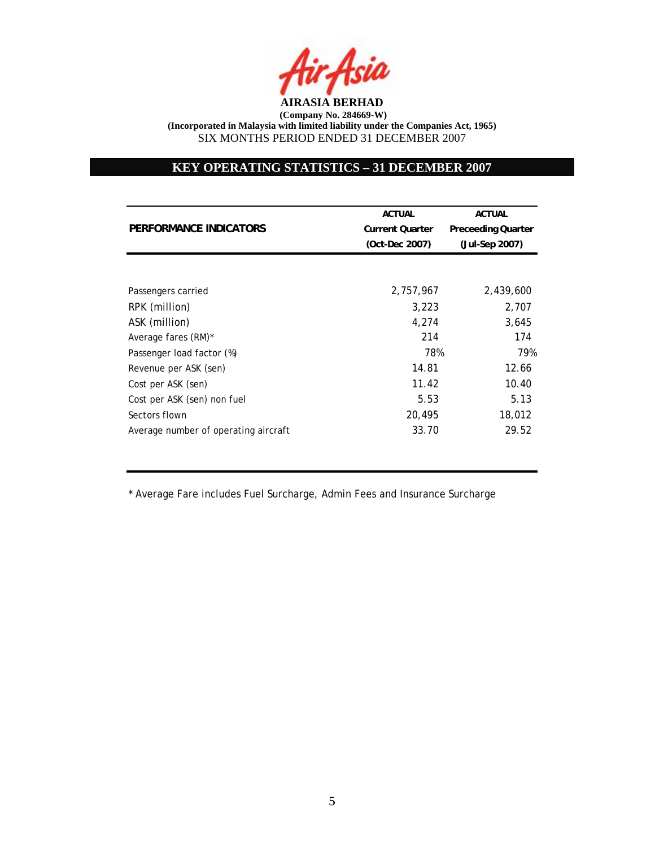

## **KEY OPERATING STATISTICS – 31 DECEMBER 2007**

|                                      | <b>ACTUAL</b>          | <b>ACTUAL</b>             |
|--------------------------------------|------------------------|---------------------------|
| PERFORMANCE INDICATORS               | <b>Current Quarter</b> | <b>Preceeding Quarter</b> |
|                                      | (Oct-Dec 2007)         | (Jul-Sep 2007)            |
|                                      |                        |                           |
| Passengers carried                   | 2,757,967              | 2,439,600                 |
| RPK (million)                        | 3,223                  | 2,707                     |
| ASK (million)                        | 4,274                  | 3,645                     |
| Average fares (RM)*                  | 214                    | 174                       |
| Passenger load factor (%)            | 78%                    | 79%                       |
| Revenue per ASK (sen)                | 14.81                  | 12.66                     |
| Cost per ASK (sen)                   | 11.42                  | 10.40                     |
| Cost per ASK (sen) non fuel          | 5.53                   | 5.13                      |
| Sectors flown                        | 20,495                 | 18,012                    |
| Average number of operating aircraft | 33.70                  | 29.52                     |

\* Average Fare includes Fuel Surcharge, Admin Fees and Insurance Surcharge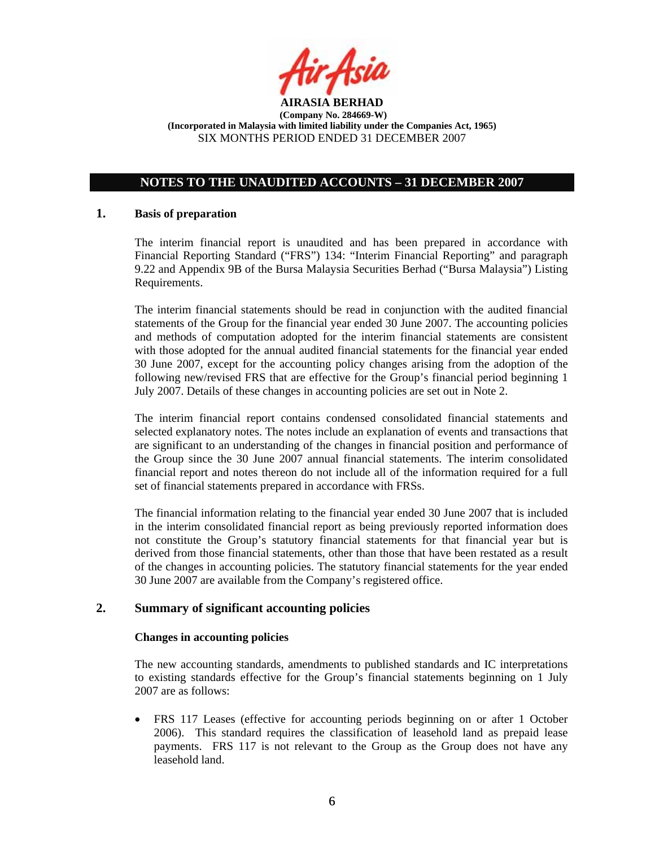

# **NOTES TO THE UNAUDITED ACCOUNTS – 31 DECEMBER 2007**

## **1. Basis of preparation**

The interim financial report is unaudited and has been prepared in accordance with Financial Reporting Standard ("FRS") 134: "Interim Financial Reporting" and paragraph 9.22 and Appendix 9B of the Bursa Malaysia Securities Berhad ("Bursa Malaysia") Listing Requirements.

The interim financial statements should be read in conjunction with the audited financial statements of the Group for the financial year ended 30 June 2007. The accounting policies and methods of computation adopted for the interim financial statements are consistent with those adopted for the annual audited financial statements for the financial year ended 30 June 2007, except for the accounting policy changes arising from the adoption of the following new/revised FRS that are effective for the Group's financial period beginning 1 July 2007. Details of these changes in accounting policies are set out in Note 2.

The interim financial report contains condensed consolidated financial statements and selected explanatory notes. The notes include an explanation of events and transactions that are significant to an understanding of the changes in financial position and performance of the Group since the 30 June 2007 annual financial statements. The interim consolidated financial report and notes thereon do not include all of the information required for a full set of financial statements prepared in accordance with FRSs.

The financial information relating to the financial year ended 30 June 2007 that is included in the interim consolidated financial report as being previously reported information does not constitute the Group's statutory financial statements for that financial year but is derived from those financial statements, other than those that have been restated as a result of the changes in accounting policies. The statutory financial statements for the year ended 30 June 2007 are available from the Company's registered office.

## **2. Summary of significant accounting policies**

#### **Changes in accounting policies**

The new accounting standards, amendments to published standards and IC interpretations to existing standards effective for the Group's financial statements beginning on 1 July 2007 are as follows:

• FRS 117 Leases (effective for accounting periods beginning on or after 1 October 2006). This standard requires the classification of leasehold land as prepaid lease payments. FRS 117 is not relevant to the Group as the Group does not have any leasehold land.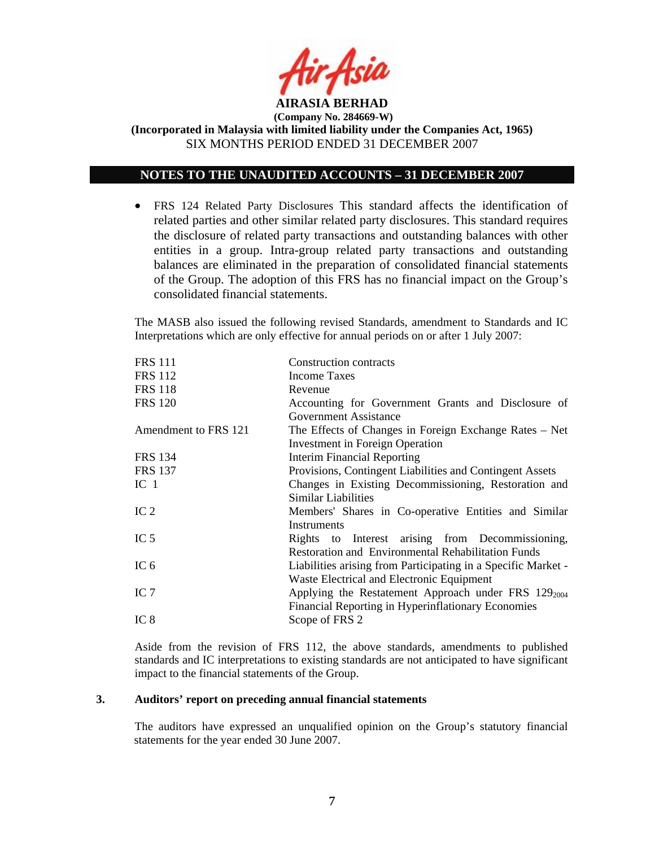

## **NOTES TO THE UNAUDITED ACCOUNTS – 31 DECEMBER 2007**

• FRS 124 Related Party Disclosures This standard affects the identification of related parties and other similar related party disclosures. This standard requires the disclosure of related party transactions and outstanding balances with other entities in a group. Intra-group related party transactions and outstanding balances are eliminated in the preparation of consolidated financial statements of the Group. The adoption of this FRS has no financial impact on the Group's consolidated financial statements.

The MASB also issued the following revised Standards, amendment to Standards and IC Interpretations which are only effective for annual periods on or after 1 July 2007:

| <b>FRS 112</b><br>Income Taxes<br><b>FRS 118</b><br>Revenue<br><b>FRS 120</b><br>Government Assistance<br>Amendment to FRS 121<br><b>Investment in Foreign Operation</b><br><b>Interim Financial Reporting</b><br><b>FRS 134</b><br>Provisions, Contingent Liabilities and Contingent Assets<br><b>FRS 137</b><br>IC <sub>1</sub><br>Similar Liabilities<br>IC <sub>2</sub><br>Instruments<br>IC $5$<br><b>Restoration and Environmental Rehabilitation Funds</b><br>IC $6$<br>Waste Electrical and Electronic Equipment<br>IC $7$<br>Financial Reporting in Hyperinflationary Economies<br>IC <sub>8</sub><br>Scope of FRS 2 | <b>FRS 111</b> | Construction contracts                                        |
|-------------------------------------------------------------------------------------------------------------------------------------------------------------------------------------------------------------------------------------------------------------------------------------------------------------------------------------------------------------------------------------------------------------------------------------------------------------------------------------------------------------------------------------------------------------------------------------------------------------------------------|----------------|---------------------------------------------------------------|
|                                                                                                                                                                                                                                                                                                                                                                                                                                                                                                                                                                                                                               |                |                                                               |
|                                                                                                                                                                                                                                                                                                                                                                                                                                                                                                                                                                                                                               |                |                                                               |
|                                                                                                                                                                                                                                                                                                                                                                                                                                                                                                                                                                                                                               |                | Accounting for Government Grants and Disclosure of            |
|                                                                                                                                                                                                                                                                                                                                                                                                                                                                                                                                                                                                                               |                |                                                               |
|                                                                                                                                                                                                                                                                                                                                                                                                                                                                                                                                                                                                                               |                | The Effects of Changes in Foreign Exchange Rates – Net        |
|                                                                                                                                                                                                                                                                                                                                                                                                                                                                                                                                                                                                                               |                |                                                               |
|                                                                                                                                                                                                                                                                                                                                                                                                                                                                                                                                                                                                                               |                |                                                               |
|                                                                                                                                                                                                                                                                                                                                                                                                                                                                                                                                                                                                                               |                |                                                               |
|                                                                                                                                                                                                                                                                                                                                                                                                                                                                                                                                                                                                                               |                | Changes in Existing Decommissioning, Restoration and          |
|                                                                                                                                                                                                                                                                                                                                                                                                                                                                                                                                                                                                                               |                |                                                               |
|                                                                                                                                                                                                                                                                                                                                                                                                                                                                                                                                                                                                                               |                | Members' Shares in Co-operative Entities and Similar          |
|                                                                                                                                                                                                                                                                                                                                                                                                                                                                                                                                                                                                                               |                |                                                               |
|                                                                                                                                                                                                                                                                                                                                                                                                                                                                                                                                                                                                                               |                | Rights to Interest arising from Decommissioning,              |
|                                                                                                                                                                                                                                                                                                                                                                                                                                                                                                                                                                                                                               |                |                                                               |
|                                                                                                                                                                                                                                                                                                                                                                                                                                                                                                                                                                                                                               |                | Liabilities arising from Participating in a Specific Market - |
|                                                                                                                                                                                                                                                                                                                                                                                                                                                                                                                                                                                                                               |                |                                                               |
|                                                                                                                                                                                                                                                                                                                                                                                                                                                                                                                                                                                                                               |                | Applying the Restatement Approach under FRS $129_{2004}$      |
|                                                                                                                                                                                                                                                                                                                                                                                                                                                                                                                                                                                                                               |                |                                                               |
|                                                                                                                                                                                                                                                                                                                                                                                                                                                                                                                                                                                                                               |                |                                                               |

 Aside from the revision of FRS 112, the above standards, amendments to published standards and IC interpretations to existing standards are not anticipated to have significant impact to the financial statements of the Group.

### **3. Auditors' report on preceding annual financial statements**

The auditors have expressed an unqualified opinion on the Group's statutory financial statements for the year ended 30 June 2007.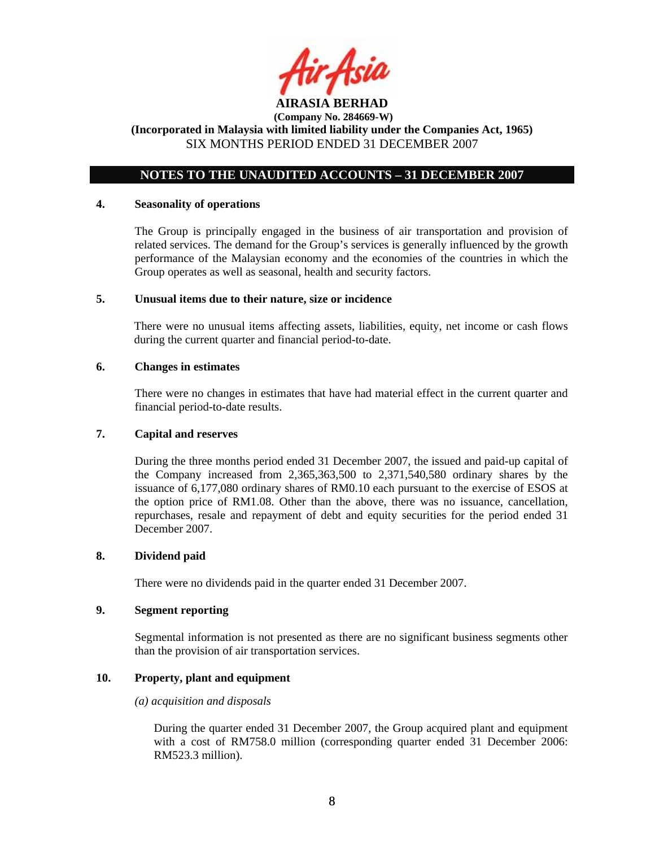

## **NOTES TO THE UNAUDITED ACCOUNTS – 31 DECEMBER 2007**

#### **4. Seasonality of operations**

The Group is principally engaged in the business of air transportation and provision of related services. The demand for the Group's services is generally influenced by the growth performance of the Malaysian economy and the economies of the countries in which the Group operates as well as seasonal, health and security factors.

#### **5. Unusual items due to their nature, size or incidence**

There were no unusual items affecting assets, liabilities, equity, net income or cash flows during the current quarter and financial period-to-date.

#### **6. Changes in estimates**

There were no changes in estimates that have had material effect in the current quarter and financial period-to-date results.

#### **7. Capital and reserves**

During the three months period ended 31 December 2007, the issued and paid-up capital of the Company increased from 2,365,363,500 to 2,371,540,580 ordinary shares by the issuance of 6,177,080 ordinary shares of RM0.10 each pursuant to the exercise of ESOS at the option price of RM1.08. Other than the above, there was no issuance, cancellation, repurchases, resale and repayment of debt and equity securities for the period ended 31 December 2007.

## **8. Dividend paid**

There were no dividends paid in the quarter ended 31 December 2007.

#### **9. Segment reporting**

Segmental information is not presented as there are no significant business segments other than the provision of air transportation services.

## **10. Property, plant and equipment**

#### *(a) acquisition and disposals*

During the quarter ended 31 December 2007, the Group acquired plant and equipment with a cost of RM758.0 million (corresponding quarter ended 31 December 2006: RM523.3 million).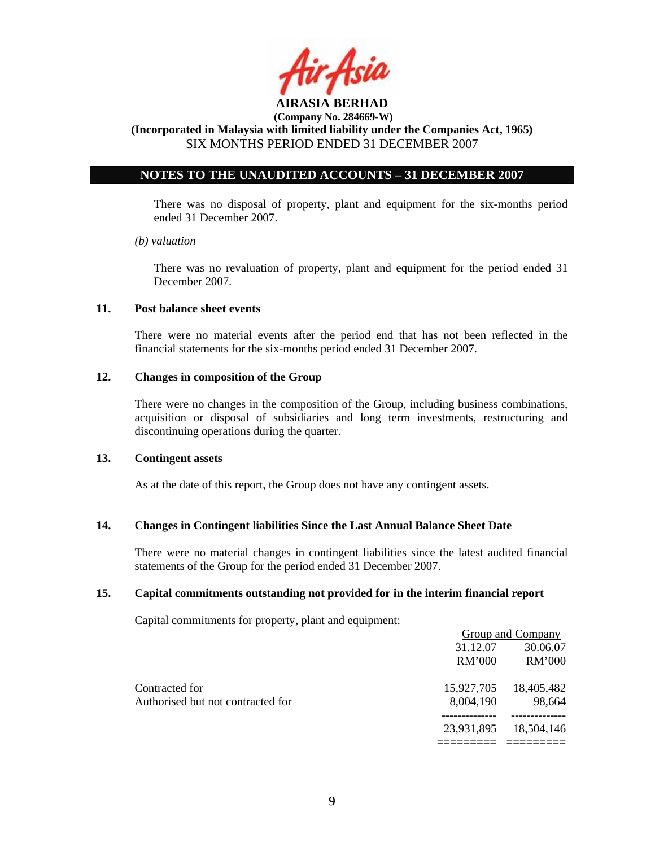

**(Incorporated in Malaysia with limited liability under the Companies Act, 1965)**  SIX MONTHS PERIOD ENDED 31 DECEMBER 2007

## **NOTES TO THE UNAUDITED ACCOUNTS – 31 DECEMBER 2007**

There was no disposal of property, plant and equipment for the six-months period ended 31 December 2007.

#### *(b) valuation*

 There was no revaluation of property, plant and equipment for the period ended 31 December 2007.

### **11. Post balance sheet events**

There were no material events after the period end that has not been reflected in the financial statements for the six-months period ended 31 December 2007.

## **12. Changes in composition of the Group**

There were no changes in the composition of the Group, including business combinations, acquisition or disposal of subsidiaries and long term investments, restructuring and discontinuing operations during the quarter.

#### **13. Contingent assets**

As at the date of this report, the Group does not have any contingent assets.

## **14. Changes in Contingent liabilities Since the Last Annual Balance Sheet Date**

There were no material changes in contingent liabilities since the latest audited financial statements of the Group for the period ended 31 December 2007.

## **15. Capital commitments outstanding not provided for in the interim financial report**

Capital commitments for property, plant and equipment:

|                                   |            | Group and Company |
|-----------------------------------|------------|-------------------|
|                                   | 31.12.07   | 30.06.07          |
|                                   | RM'000     | RM'000            |
| Contracted for                    | 15,927,705 | 18,405,482        |
| Authorised but not contracted for | 8,004,190  | 98,664            |
|                                   | 23,931,895 | 18,504,146        |
|                                   |            |                   |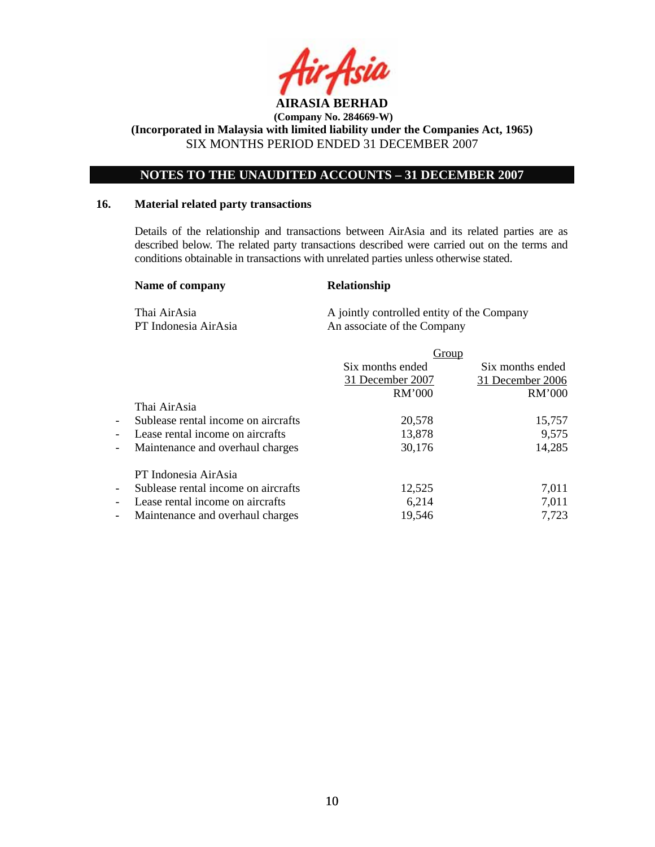

**(Incorporated in Malaysia with limited liability under the Companies Act, 1965)**  SIX MONTHS PERIOD ENDED 31 DECEMBER 2007

## **NOTES TO THE UNAUDITED ACCOUNTS – 31 DECEMBER 2007**

#### **16. Material related party transactions**

Details of the relationship and transactions between AirAsia and its related parties are as described below. The related party transactions described were carried out on the terms and conditions obtainable in transactions with unrelated parties unless otherwise stated.

#### Name of company Relationship

Thai AirAsia A jointly controlled entity of the Company PT Indonesia AirAsia An associate of the Company

|                          |                                     | Group            |                  |
|--------------------------|-------------------------------------|------------------|------------------|
|                          |                                     | Six months ended | Six months ended |
|                          |                                     | 31 December 2007 | 31 December 2006 |
|                          |                                     | RM'000           | RM'000           |
|                          | Thai AirAsia                        |                  |                  |
| $\overline{\phantom{a}}$ | Sublease rental income on aircrafts | 20,578           | 15,757           |
| $\overline{\phantom{a}}$ | Lease rental income on aircrafts    | 13,878           | 9,575            |
| $\overline{\phantom{a}}$ | Maintenance and overhaul charges    | 30,176           | 14,285           |
|                          | PT Indonesia AirAsia                |                  |                  |
| $\overline{\phantom{a}}$ | Sublease rental income on aircrafts | 12,525           | 7,011            |
| $\overline{\phantom{a}}$ | Lease rental income on aircrafts    | 6,214            | 7,011            |
| $\overline{\phantom{a}}$ | Maintenance and overhaul charges    | 19,546           | 7,723            |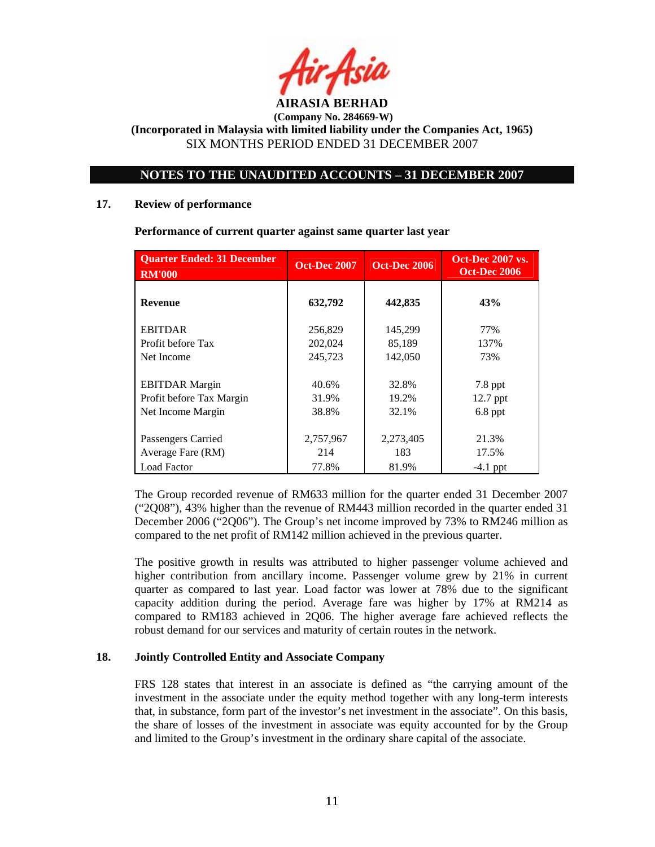

## **NOTES TO THE UNAUDITED ACCOUNTS – 31 DECEMBER 2007**

#### **17. Review of performance**

| <b>Quarter Ended: 31 December</b><br><b>RM'000</b> | <b>Oct-Dec 2007</b> | <b>Oct-Dec 2006</b> | <b>Oct-Dec 2007 vs.</b><br><b>Oct-Dec 2006</b> |
|----------------------------------------------------|---------------------|---------------------|------------------------------------------------|
| <b>Revenue</b>                                     | 632,792             | 442,835             | 43%                                            |
| <b>EBITDAR</b>                                     | 256,829             | 145,299             | 77%                                            |
| Profit before Tax                                  | 202,024             | 85,189              | 137%                                           |
| Net Income                                         | 245,723             | 142,050             | 73%                                            |
| <b>EBITDAR</b> Margin                              | 40.6%               | 32.8%               | $7.8$ ppt                                      |
| Profit before Tax Margin                           | 31.9%               | 19.2%               | 12.7 ppt                                       |
| Net Income Margin                                  | 38.8%               | 32.1%               | $6.8$ ppt                                      |
| Passengers Carried                                 | 2,757,967           | 2,273,405           | 21.3%                                          |
| Average Fare (RM)                                  | 214                 | 183                 | 17.5%                                          |
| <b>Load Factor</b>                                 | 77.8%               | 81.9%               | $-4.1$ ppt                                     |

**Performance of current quarter against same quarter last year** 

The Group recorded revenue of RM633 million for the quarter ended 31 December 2007 ("2Q08"), 43% higher than the revenue of RM443 million recorded in the quarter ended 31 December 2006 ("2Q06"). The Group's net income improved by 73% to RM246 million as compared to the net profit of RM142 million achieved in the previous quarter.

The positive growth in results was attributed to higher passenger volume achieved and higher contribution from ancillary income. Passenger volume grew by 21% in current quarter as compared to last year. Load factor was lower at 78% due to the significant capacity addition during the period. Average fare was higher by 17% at RM214 as compared to RM183 achieved in 2Q06. The higher average fare achieved reflects the robust demand for our services and maturity of certain routes in the network.

## **18. Jointly Controlled Entity and Associate Company**

FRS 128 states that interest in an associate is defined as "the carrying amount of the investment in the associate under the equity method together with any long-term interests that, in substance, form part of the investor's net investment in the associate". On this basis, the share of losses of the investment in associate was equity accounted for by the Group and limited to the Group's investment in the ordinary share capital of the associate.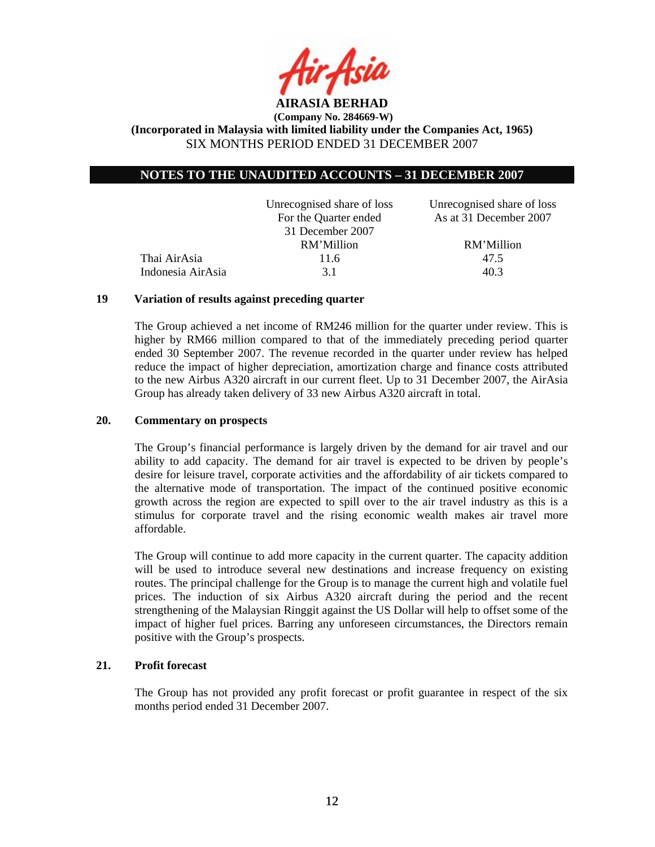

## **NOTES TO THE UNAUDITED ACCOUNTS – 31 DECEMBER 2007**

|                   | Unrecognised share of loss | Unrecognised share of loss |
|-------------------|----------------------------|----------------------------|
|                   | For the Quarter ended      | As at 31 December 2007     |
|                   | 31 December 2007           |                            |
|                   | RM'Million                 | RM'Million                 |
| Thai AirAsia      | 11.6                       | 47.5                       |
| Indonesia AirAsia | 31                         | 40.3                       |
|                   |                            |                            |

### **19 Variation of results against preceding quarter**

The Group achieved a net income of RM246 million for the quarter under review. This is higher by RM66 million compared to that of the immediately preceding period quarter ended 30 September 2007. The revenue recorded in the quarter under review has helped reduce the impact of higher depreciation, amortization charge and finance costs attributed to the new Airbus A320 aircraft in our current fleet. Up to 31 December 2007, the AirAsia Group has already taken delivery of 33 new Airbus A320 aircraft in total.

#### **20. Commentary on prospects**

The Group's financial performance is largely driven by the demand for air travel and our ability to add capacity. The demand for air travel is expected to be driven by people's desire for leisure travel, corporate activities and the affordability of air tickets compared to the alternative mode of transportation. The impact of the continued positive economic growth across the region are expected to spill over to the air travel industry as this is a stimulus for corporate travel and the rising economic wealth makes air travel more affordable.

The Group will continue to add more capacity in the current quarter. The capacity addition will be used to introduce several new destinations and increase frequency on existing routes. The principal challenge for the Group is to manage the current high and volatile fuel prices. The induction of six Airbus A320 aircraft during the period and the recent strengthening of the Malaysian Ringgit against the US Dollar will help to offset some of the impact of higher fuel prices. Barring any unforeseen circumstances, the Directors remain positive with the Group's prospects.

## **21. Profit forecast**

The Group has not provided any profit forecast or profit guarantee in respect of the six months period ended 31 December 2007.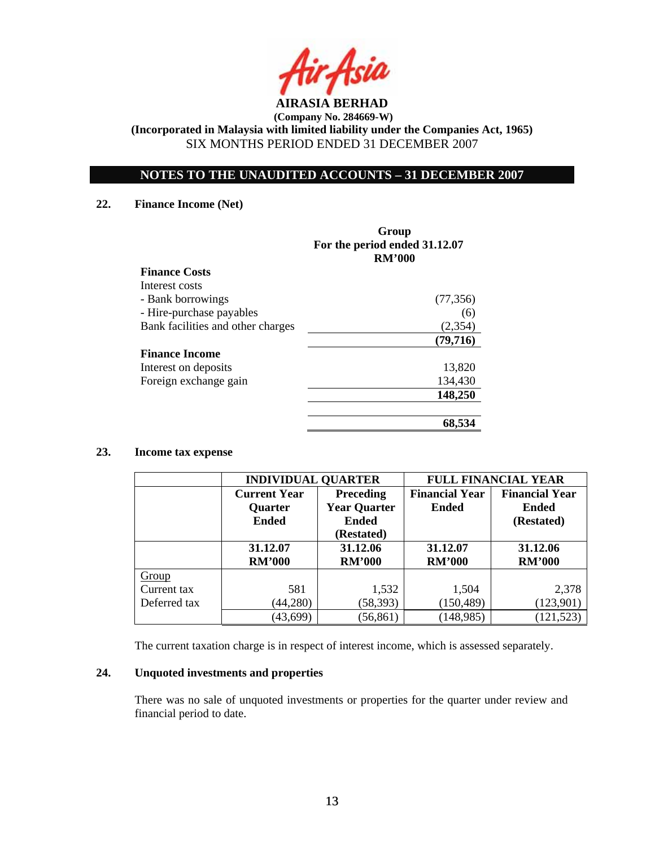

**(Incorporated in Malaysia with limited liability under the Companies Act, 1965)**  SIX MONTHS PERIOD ENDED 31 DECEMBER 2007

## **NOTES TO THE UNAUDITED ACCOUNTS – 31 DECEMBER 2007**

#### **22. Finance Income (Net)**

|                                   | Group<br>For the period ended 31.12.07<br><b>RM'000</b> |
|-----------------------------------|---------------------------------------------------------|
| <b>Finance Costs</b>              |                                                         |
| Interest costs                    |                                                         |
| - Bank borrowings                 | (77, 356)                                               |
| - Hire-purchase payables          | (6)                                                     |
| Bank facilities and other charges | (2,354)                                                 |
|                                   | (79,716)                                                |
| <b>Finance Income</b>             |                                                         |
| Interest on deposits              | 13,820                                                  |
| Foreign exchange gain             | 134,430                                                 |
|                                   | 148,250                                                 |
|                                   | 68,534                                                  |

#### **23. Income tax expense**

|              | <b>INDIVIDUAL QUARTER</b> |                     | <b>FULL FINANCIAL YEAR</b> |                       |  |
|--------------|---------------------------|---------------------|----------------------------|-----------------------|--|
|              | <b>Current Year</b>       | <b>Preceding</b>    | <b>Financial Year</b>      | <b>Financial Year</b> |  |
|              | <b>Quarter</b>            | <b>Year Quarter</b> | <b>Ended</b>               | <b>Ended</b>          |  |
|              | <b>Ended</b>              | <b>Ended</b>        |                            | (Restated)            |  |
|              |                           | (Restated)          |                            |                       |  |
|              | 31.12.07                  | 31.12.06            | 31.12.07                   | 31.12.06              |  |
|              | <b>RM'000</b>             | <b>RM'000</b>       | <b>RM'000</b>              | <b>RM'000</b>         |  |
| Group        |                           |                     |                            |                       |  |
| Current tax  | 581                       | 1,532               | 1,504                      | 2,378                 |  |
| Deferred tax | (44,280)                  | (58, 393)           | (150, 489)                 | (123,901)             |  |
|              | (43, 699)                 | (56, 861)           | (148, 985)                 | 121,523)              |  |

The current taxation charge is in respect of interest income, which is assessed separately.

## **24. Unquoted investments and properties**

There was no sale of unquoted investments or properties for the quarter under review and financial period to date.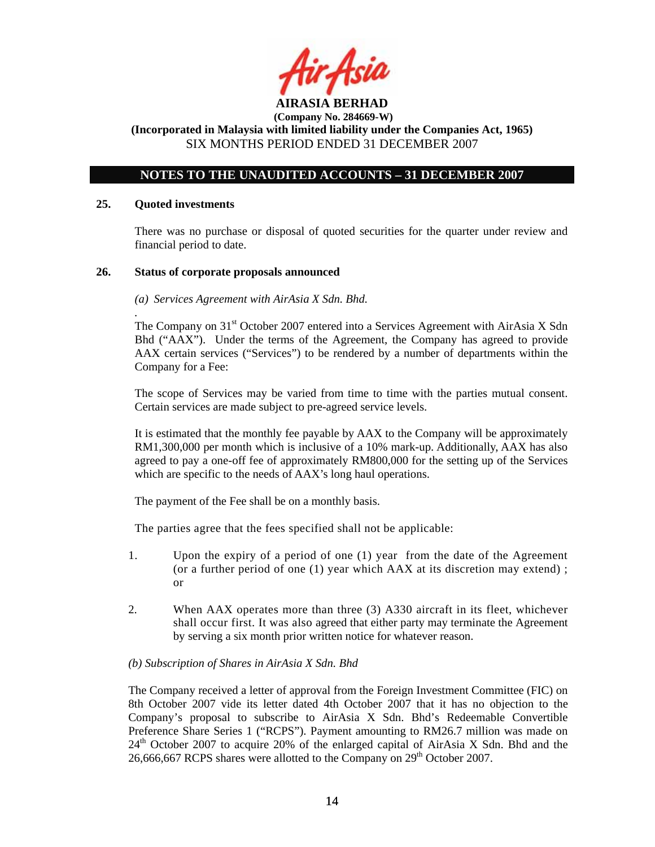

**(Incorporated in Malaysia with limited liability under the Companies Act, 1965)**  SIX MONTHS PERIOD ENDED 31 DECEMBER 2007

## **NOTES TO THE UNAUDITED ACCOUNTS – 31 DECEMBER 2007**

#### **25. Quoted investments**

*.* 

There was no purchase or disposal of quoted securities for the quarter under review and financial period to date.

#### **26. Status of corporate proposals announced**

#### *(a) Services Agreement with AirAsia X Sdn. Bhd.*

The Company on  $31<sup>st</sup>$  October 2007 entered into a Services Agreement with AirAsia X Sdn Bhd ("AAX"). Under the terms of the Agreement, the Company has agreed to provide AAX certain services ("Services") to be rendered by a number of departments within the Company for a Fee:

The scope of Services may be varied from time to time with the parties mutual consent. Certain services are made subject to pre-agreed service levels.

It is estimated that the monthly fee payable by AAX to the Company will be approximately RM1,300,000 per month which is inclusive of a 10% mark-up. Additionally, AAX has also agreed to pay a one-off fee of approximately RM800,000 for the setting up of the Services which are specific to the needs of AAX's long haul operations.

The payment of the Fee shall be on a monthly basis.

The parties agree that the fees specified shall not be applicable:

- 1. Upon the expiry of a period of one (1) year from the date of the Agreement (or a further period of one (1) year which AAX at its discretion may extend) ; or
- 2. When AAX operates more than three (3) A330 aircraft in its fleet, whichever shall occur first. It was also agreed that either party may terminate the Agreement by serving a six month prior written notice for whatever reason.

## *(b) Subscription of Shares in AirAsia X Sdn. Bhd*

The Company received a letter of approval from the Foreign Investment Committee (FIC) on 8th October 2007 vide its letter dated 4th October 2007 that it has no objection to the Company's proposal to subscribe to AirAsia X Sdn. Bhd's Redeemable Convertible Preference Share Series 1 ("RCPS"). Payment amounting to RM26.7 million was made on  $24<sup>th</sup>$  October 2007 to acquire 20% of the enlarged capital of AirAsia X Sdn. Bhd and the 26,666,667 RCPS shares were allotted to the Company on  $29<sup>th</sup>$  October 2007.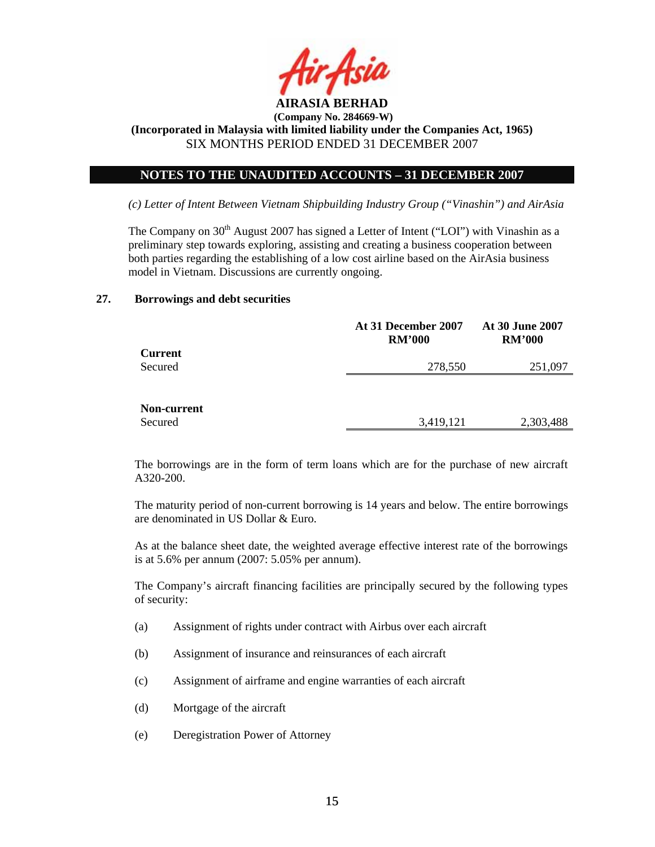

## **NOTES TO THE UNAUDITED ACCOUNTS – 31 DECEMBER 2007**

*(c) Letter of Intent Between Vietnam Shipbuilding Industry Group ("Vinashin") and AirAsia* 

The Company on  $30<sup>th</sup>$  August 2007 has signed a Letter of Intent ("LOI") with Vinashin as a preliminary step towards exploring, assisting and creating a business cooperation between both parties regarding the establishing of a low cost airline based on the AirAsia business model in Vietnam. Discussions are currently ongoing.

#### **27. Borrowings and debt securities**

|                | At 31 December 2007<br><b>RM'000</b> | <b>At 30 June 2007</b><br><b>RM'000</b> |
|----------------|--------------------------------------|-----------------------------------------|
| <b>Current</b> |                                      |                                         |
| Secured        | 278,550                              | 251,097                                 |
|                |                                      |                                         |
|                |                                      |                                         |
| Non-current    |                                      |                                         |
| Secured        | 3,419,121                            | 2,303,488                               |

The borrowings are in the form of term loans which are for the purchase of new aircraft A320-200.

The maturity period of non-current borrowing is 14 years and below. The entire borrowings are denominated in US Dollar & Euro.

As at the balance sheet date, the weighted average effective interest rate of the borrowings is at 5.6% per annum (2007: 5.05% per annum).

The Company's aircraft financing facilities are principally secured by the following types of security:

- (a) Assignment of rights under contract with Airbus over each aircraft
- (b) Assignment of insurance and reinsurances of each aircraft
- (c) Assignment of airframe and engine warranties of each aircraft
- (d) Mortgage of the aircraft
- (e) Deregistration Power of Attorney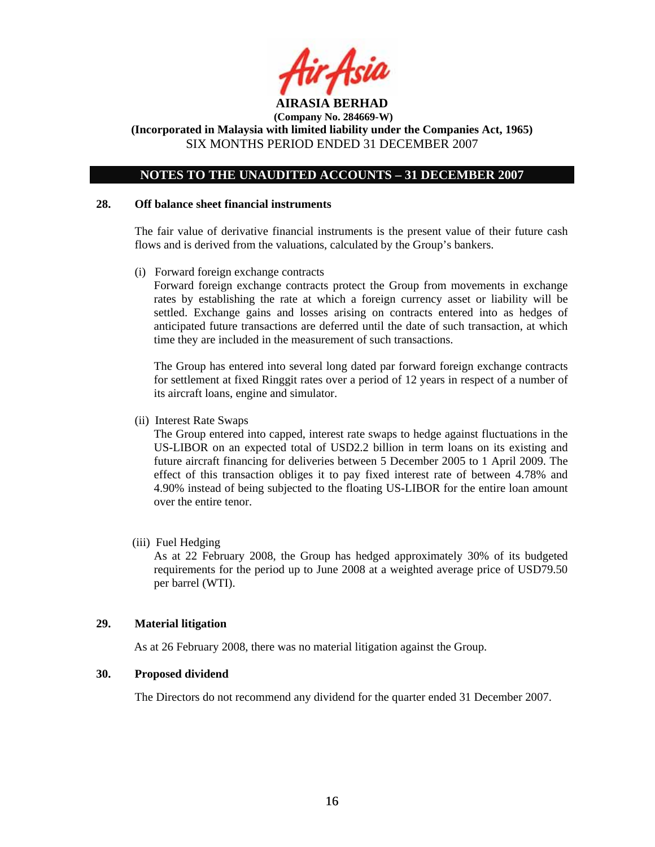

**(Incorporated in Malaysia with limited liability under the Companies Act, 1965)**  SIX MONTHS PERIOD ENDED 31 DECEMBER 2007

## **NOTES TO THE UNAUDITED ACCOUNTS – 31 DECEMBER 2007**

#### **28. Off balance sheet financial instruments**

 The fair value of derivative financial instruments is the present value of their future cash flows and is derived from the valuations, calculated by the Group's bankers.

(i) Forward foreign exchange contracts

 Forward foreign exchange contracts protect the Group from movements in exchange rates by establishing the rate at which a foreign currency asset or liability will be settled. Exchange gains and losses arising on contracts entered into as hedges of anticipated future transactions are deferred until the date of such transaction, at which time they are included in the measurement of such transactions.

The Group has entered into several long dated par forward foreign exchange contracts for settlement at fixed Ringgit rates over a period of 12 years in respect of a number of its aircraft loans, engine and simulator.

(ii) Interest Rate Swaps

The Group entered into capped, interest rate swaps to hedge against fluctuations in the US-LIBOR on an expected total of USD2.2 billion in term loans on its existing and future aircraft financing for deliveries between 5 December 2005 to 1 April 2009. The effect of this transaction obliges it to pay fixed interest rate of between 4.78% and 4.90% instead of being subjected to the floating US-LIBOR for the entire loan amount over the entire tenor.

(iii) Fuel Hedging

As at 22 February 2008, the Group has hedged approximately 30% of its budgeted requirements for the period up to June 2008 at a weighted average price of USD79.50 per barrel (WTI).

#### **29. Material litigation**

As at 26 February 2008, there was no material litigation against the Group.

### **30. Proposed dividend**

The Directors do not recommend any dividend for the quarter ended 31 December 2007.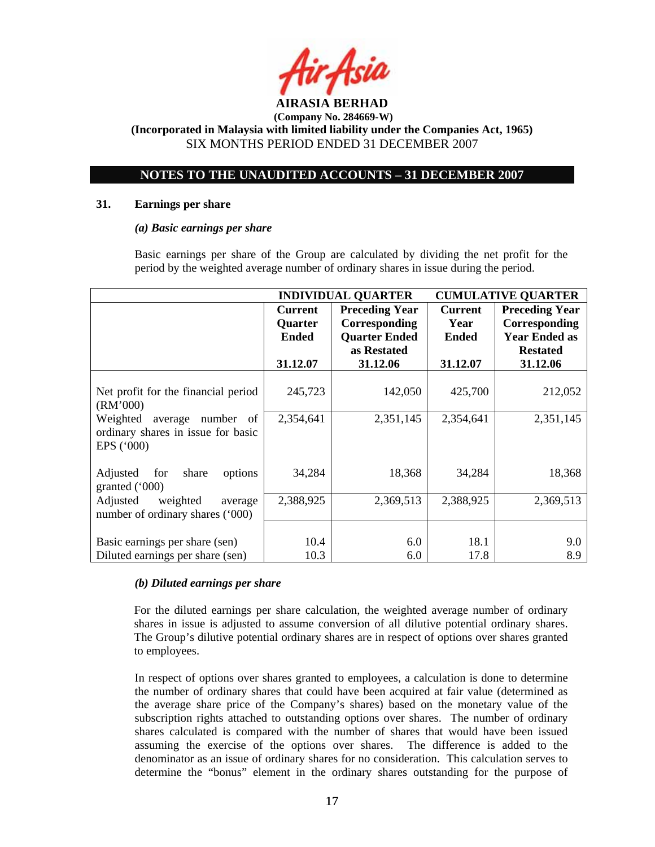

**(Incorporated in Malaysia with limited liability under the Companies Act, 1965)**  SIX MONTHS PERIOD ENDED 31 DECEMBER 2007

## **NOTES TO THE UNAUDITED ACCOUNTS – 31 DECEMBER 2007**

#### **31. Earnings per share**

#### *(a) Basic earnings per share*

 Basic earnings per share of the Group are calculated by dividing the net profit for the period by the weighted average number of ordinary shares in issue during the period.

|                                     | <b>INDIVIDUAL QUARTER</b> |                       | <b>CUMULATIVE QUARTER</b> |                       |
|-------------------------------------|---------------------------|-----------------------|---------------------------|-----------------------|
|                                     | <b>Current</b>            | <b>Preceding Year</b> | <b>Current</b>            | <b>Preceding Year</b> |
|                                     | Quarter                   | Corresponding         | Year                      | Corresponding         |
|                                     | <b>Ended</b>              | <b>Quarter Ended</b>  | <b>Ended</b>              | <b>Year Ended as</b>  |
|                                     |                           | as Restated           |                           | <b>Restated</b>       |
|                                     | 31.12.07                  | 31.12.06              | 31.12.07                  | 31.12.06              |
|                                     |                           |                       |                           |                       |
| Net profit for the financial period | 245,723                   | 142,050               | 425,700                   | 212,052               |
| (RM'000)                            |                           |                       |                           |                       |
| Weighted<br>average number<br>of    | 2,354,641                 | 2,351,145             | 2,354,641                 | 2,351,145             |
| ordinary shares in issue for basic  |                           |                       |                           |                       |
| EPS $(500)$                         |                           |                       |                           |                       |
|                                     |                           |                       |                           |                       |
| Adjusted<br>for<br>share<br>options | 34,284                    | 18,368                | 34,284                    | 18,368                |
| granted $('000)$                    |                           |                       |                           |                       |
| Adjusted<br>weighted<br>average     | 2,388,925                 | 2,369,513             | 2,388,925                 | 2,369,513             |
| number of ordinary shares ('000)    |                           |                       |                           |                       |
|                                     |                           |                       |                           |                       |
| Basic earnings per share (sen)      | 10.4                      | 6.0                   | 18.1                      | 9.0                   |
| Diluted earnings per share (sen)    | 10.3                      | 6.0                   | 17.8                      | 8.9                   |

## *(b) Diluted earnings per share*

For the diluted earnings per share calculation, the weighted average number of ordinary shares in issue is adjusted to assume conversion of all dilutive potential ordinary shares. The Group's dilutive potential ordinary shares are in respect of options over shares granted to employees.

 In respect of options over shares granted to employees, a calculation is done to determine the number of ordinary shares that could have been acquired at fair value (determined as the average share price of the Company's shares) based on the monetary value of the subscription rights attached to outstanding options over shares. The number of ordinary shares calculated is compared with the number of shares that would have been issued assuming the exercise of the options over shares. The difference is added to the denominator as an issue of ordinary shares for no consideration. This calculation serves to determine the "bonus" element in the ordinary shares outstanding for the purpose of